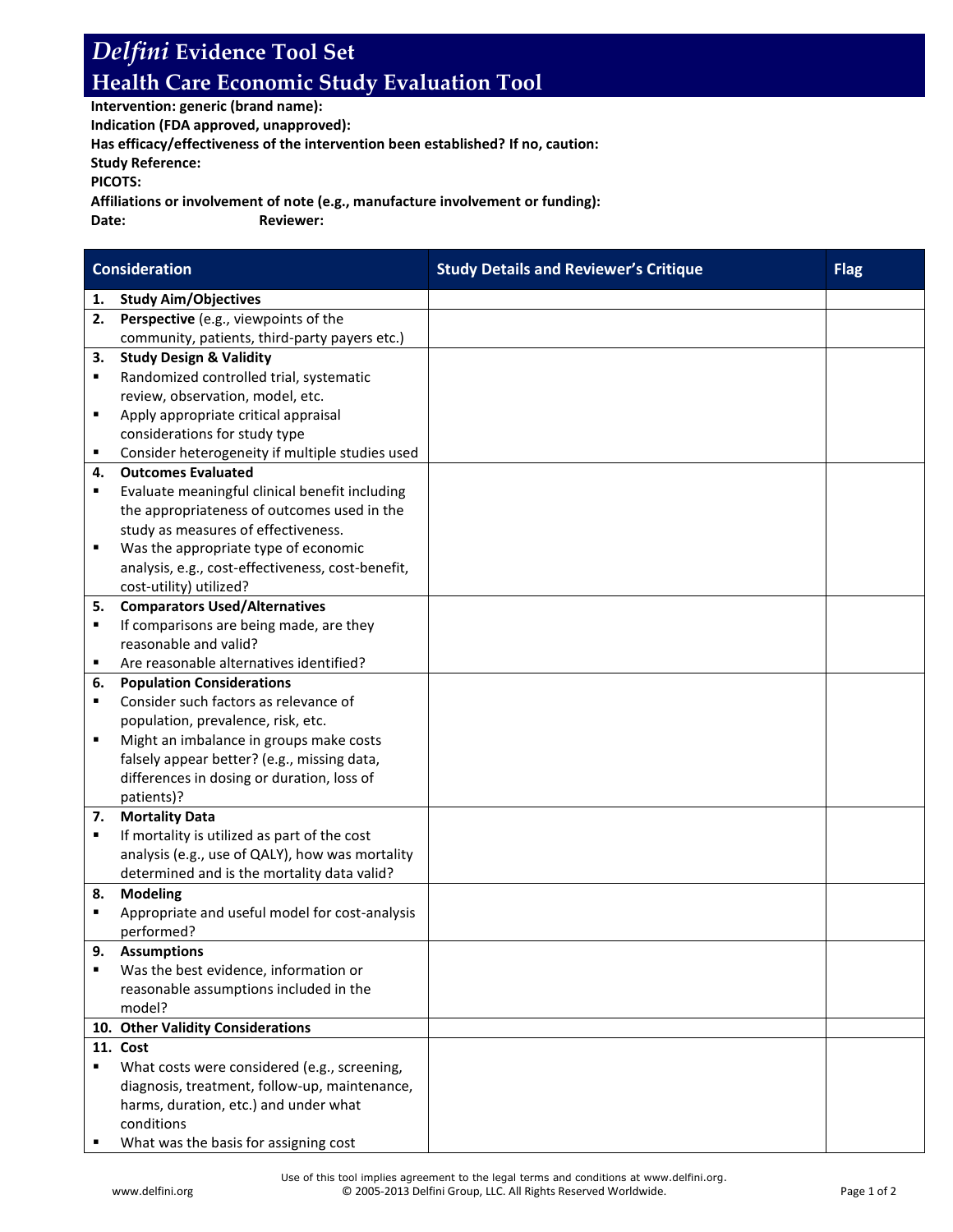## *Delfini* **Evidence Tool Set Health Care Economic Study Evaluation Tool**

**Intervention: generic (brand name):**

**Indication (FDA approved, unapproved):**

**Has efficacy/effectiveness of the intervention been established? If no, caution:**

**Study Reference:**

**PICOTS:**

**Affiliations or involvement of note (e.g., manufacture involvement or funding):**

**Date: Reviewer:**

| <b>Consideration</b> |                                                                                                 | <b>Study Details and Reviewer's Critique</b> | <b>Flag</b> |
|----------------------|-------------------------------------------------------------------------------------------------|----------------------------------------------|-------------|
| 1.                   | <b>Study Aim/Objectives</b>                                                                     |                                              |             |
| 2.                   | Perspective (e.g., viewpoints of the                                                            |                                              |             |
|                      | community, patients, third-party payers etc.)                                                   |                                              |             |
| 3.                   | <b>Study Design &amp; Validity</b>                                                              |                                              |             |
| ٠                    | Randomized controlled trial, systematic                                                         |                                              |             |
|                      | review, observation, model, etc.                                                                |                                              |             |
| ٠                    | Apply appropriate critical appraisal                                                            |                                              |             |
|                      | considerations for study type                                                                   |                                              |             |
| ٠                    | Consider heterogeneity if multiple studies used                                                 |                                              |             |
| 4.                   | <b>Outcomes Evaluated</b>                                                                       |                                              |             |
| ٠                    | Evaluate meaningful clinical benefit including                                                  |                                              |             |
|                      | the appropriateness of outcomes used in the                                                     |                                              |             |
|                      | study as measures of effectiveness.                                                             |                                              |             |
| ٠                    | Was the appropriate type of economic                                                            |                                              |             |
|                      | analysis, e.g., cost-effectiveness, cost-benefit,                                               |                                              |             |
|                      | cost-utility) utilized?                                                                         |                                              |             |
| 5.                   | <b>Comparators Used/Alternatives</b>                                                            |                                              |             |
| ٠                    | If comparisons are being made, are they                                                         |                                              |             |
|                      | reasonable and valid?                                                                           |                                              |             |
| ٠                    | Are reasonable alternatives identified?                                                         |                                              |             |
| 6.                   | <b>Population Considerations</b>                                                                |                                              |             |
| ٠                    | Consider such factors as relevance of                                                           |                                              |             |
|                      | population, prevalence, risk, etc.                                                              |                                              |             |
| ٠                    | Might an imbalance in groups make costs                                                         |                                              |             |
|                      | falsely appear better? (e.g., missing data,                                                     |                                              |             |
|                      | differences in dosing or duration, loss of                                                      |                                              |             |
|                      | patients)?                                                                                      |                                              |             |
| 7.<br>٠              | <b>Mortality Data</b>                                                                           |                                              |             |
|                      | If mortality is utilized as part of the cost<br>analysis (e.g., use of QALY), how was mortality |                                              |             |
|                      | determined and is the mortality data valid?                                                     |                                              |             |
| 8.                   | <b>Modeling</b>                                                                                 |                                              |             |
| ٠                    | Appropriate and useful model for cost-analysis                                                  |                                              |             |
|                      | performed?                                                                                      |                                              |             |
| 9.                   | <b>Assumptions</b>                                                                              |                                              |             |
| ٠                    | Was the best evidence, information or                                                           |                                              |             |
|                      | reasonable assumptions included in the                                                          |                                              |             |
|                      | model?                                                                                          |                                              |             |
|                      | 10. Other Validity Considerations                                                               |                                              |             |
|                      | 11. Cost                                                                                        |                                              |             |
| ٠                    | What costs were considered (e.g., screening,                                                    |                                              |             |
|                      | diagnosis, treatment, follow-up, maintenance,                                                   |                                              |             |
|                      | harms, duration, etc.) and under what                                                           |                                              |             |
|                      | conditions                                                                                      |                                              |             |
|                      | What was the basis for assigning cost                                                           |                                              |             |